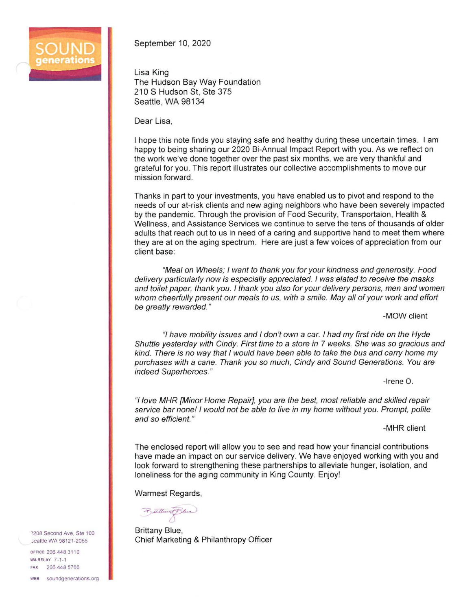

September 10, 2020

Lisa King The Hudson Bay Way Foundation 210 S Hudson St, Ste 375 Seattle, WA 98134

Dear Lisa,

I hope this note finds you staying safe and healthy during these uncertain times. I am happy to being sharing our 2020 Bi-Annual Impact Report with you. As we reflect on the work we've done together over the past six months, we are very thankful and grateful for you. This report illustrates our collective accomplishments to move our mission forward.

Thanks in part to your investments, you have enabled us to pivot and respond to the needs of our at-risk clients and new aging neighbors who have been severely impacted by the pandemic. Through the provision of Food Security, Transportaion, Health & Wellness. and Assistance Services we continue to serve the tens of thousands of older adults that reach out to us in need of a caring and supportive hand to meet them where they are at on the aging spectrum. Here are just a few voices of appreciation from our client base:

"Meal on Wheels; I want to thank you for your kindness and generosity. Food delivery particularly now is especially appreciated. I was elated to receive the masks and toilet paper, thank you. I thank you also for your delivery persons, men and women whom cheerfully present our meals to us, with a smile. May all of your work and effort be greatly rewarded. "

-MOW client

"/have mobility issues and I don't own a car. I had my first ride on the Hyde Shuttle yesterday with Cindy. First time to a store in 7 weeks. She was so gracious and kind. There is no way that I would have been able to take the bus and carry home my purchases with a cane. Thank you so much, Cindy and Sound Generations. You are indeed Superheroes."

-Irene 0.

"/love MHR {Minor Home Repair], you are the best, most reliable and skilled repair service bar none! I would not be able to live in my home without you. Prompt, polite and so efficient."

-MHR client

The enclosed report will allow you to see and read how your financial contributions have made an impact on our service delivery. We have enjoyed working with you and look forward to strengthening these partnerships to alleviate hunger, isolation, and loneliness for the aging community in King County. Enjoy!

Warmest Regards,

Bulland Sluce

Brittany Blue, Chief Marketing & Philanthropy Officer

2208 Second Ave, Ste 100 ieattle WA 98121-2055

OFFICE 206 448 311 0 WARELAY 7-1-1 FAX 206 448 5766 wEB soundgenerations.org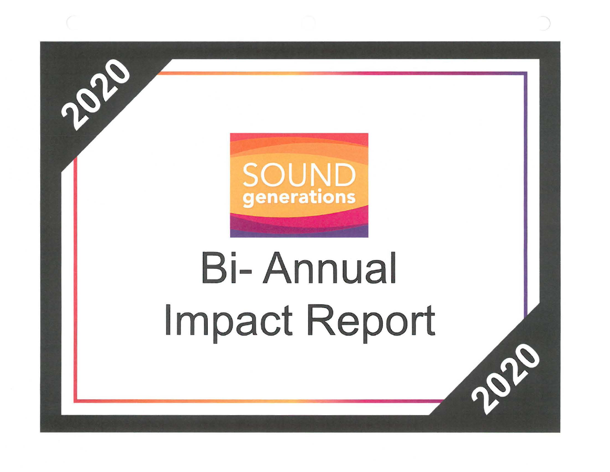

2020

# **Bi-Annual Impact Report**

Pope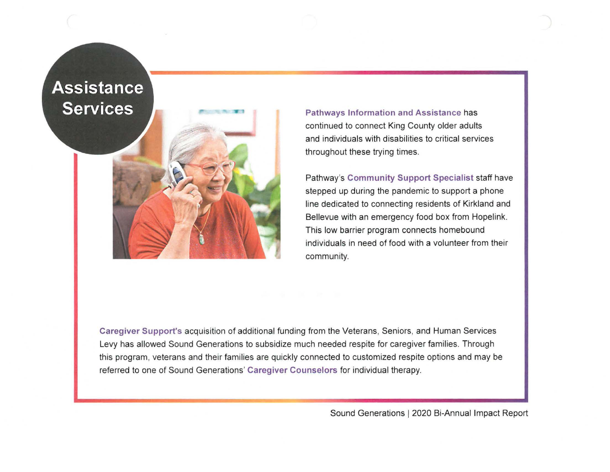## **Assistance Services**

**Pathways Information and Assistance** has continued to connect King County older adults and individuals with disabilities to critical services throughout these trying times.

Pathway's **Community Support Specialist** staff have stepped up during the pandemic to support a phone line dedicated to connecting residents of Kirkland and Bellevue with an emergency food box from Hopelink. This low barrier program connects homebound individuals in need of food with a volunteer from their community.

**Caregiver Support's** acquisition of additional funding from the Veterans, Seniors, and Human Services Levy has allowed Sound Generations to subsidize much needed respite for caregiver families. Through this program, veterans and their families are quickly connected to customized respite options and may be referred to one of Sound Generations' **Caregiver Counselors** for individual therapy.

Sound Generations 1 2020 Bi-Annual Impact Report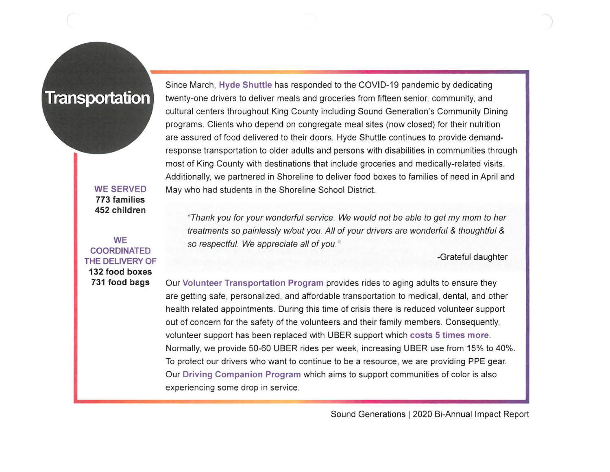#### **Transportation**

**WE SERVED 773 families 452 children** 

**WE COORDINATED THE DELIVERY OF 132 food boxes 731 food bags** 

Since March, **Hyde Shuttle** has responded to the COVID-19 pandemic by dedicating twenty-one drivers to deliver meals and groceries from fifteen senior, community, and cultural centers throughout King County including Sound Generation's Community Dining programs. Clients who depend on congregate meal sites (now closed) for their nutrition are assured of food delivered to their doors. Hyde Shuttle continues to provide demandresponse transportation to older adults and persons with disabilities in communities through most of King County with destinations that include groceries and medically-related visits. Additionally, we partnered in Shoreline to deliver food boxes to families of need in April and May who had students in the Shoreline School District.

"Thank you for your wonderful service. We would not be able to get my mom to her treatments so painlessly w/out you. All of your drivers are wonderful & thoughtful & so respectful. We appreciate all of you."

-Grateful daughter

Our **Volunteer Transportation Program** provides rides to aging adults to ensure they are getting safe, personalized, and affordable transportation to medical, dental, and other health related appointments. During this time of crisis there is reduced volunteer support out of concern for the safety of the volunteers and their family members. Consequently, volunteer support has been replaced with UBER support which **costs 5 times more.**  Normally, we provide 50-60 UBER rides per week, increasing UBER use from 15% to 40%. To protect our drivers who want to continue to be a resource, we are providing PPE gear. Our **Driving Companion Program** which aims to support communities of color is also experiencing some drop in service.

Sound Generations 1 2020 Bi-Annual Impact Report